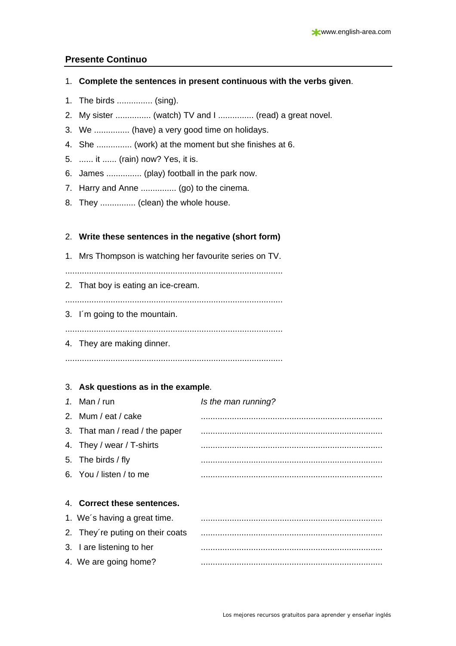## **Presente Continuo**

#### 1. **Complete the sentences in present continuous with the verbs given**.

- 1. The birds ............... (sing).
- 2. My sister ............... (watch) TV and I ............... (read) a great novel.
- 3. We ............... (have) a very good time on holidays.
- 4. She ............... (work) at the moment but she finishes at 6.
- 5. ...... it ...... (rain) now? Yes, it is.
- 6. James ............... (play) football in the park now.
- 7. Harry and Anne ............... (go) to the cinema.
- 8. They ............... (clean) the whole house.

## 2. **Write these sentences in the negative (short form)**

1. Mrs Thompson is watching her favourite series on TV.

...........................................................................................

2. That boy is eating an ice-cream.

...........................................................................................

3. I´m going to the mountain.

...........................................................................................

4. They are making dinner.

...........................................................................................

## 3. **Ask questions as in the example**.

| 1. Man / run                   | Is the man running? |
|--------------------------------|---------------------|
| 2. Mum / eat / cake            |                     |
| 3. That man / read / the paper |                     |
| 4. They / wear / T-shirts      |                     |
| 5. The birds / fly             |                     |
| 6. You / listen / to me        |                     |
|                                |                     |

## 4. **Correct these sentences.**

| 1. We's having a great time.     |  |
|----------------------------------|--|
| 2. They're puting on their coats |  |
| 3. I are listening to her        |  |
| 4. We are going home?            |  |